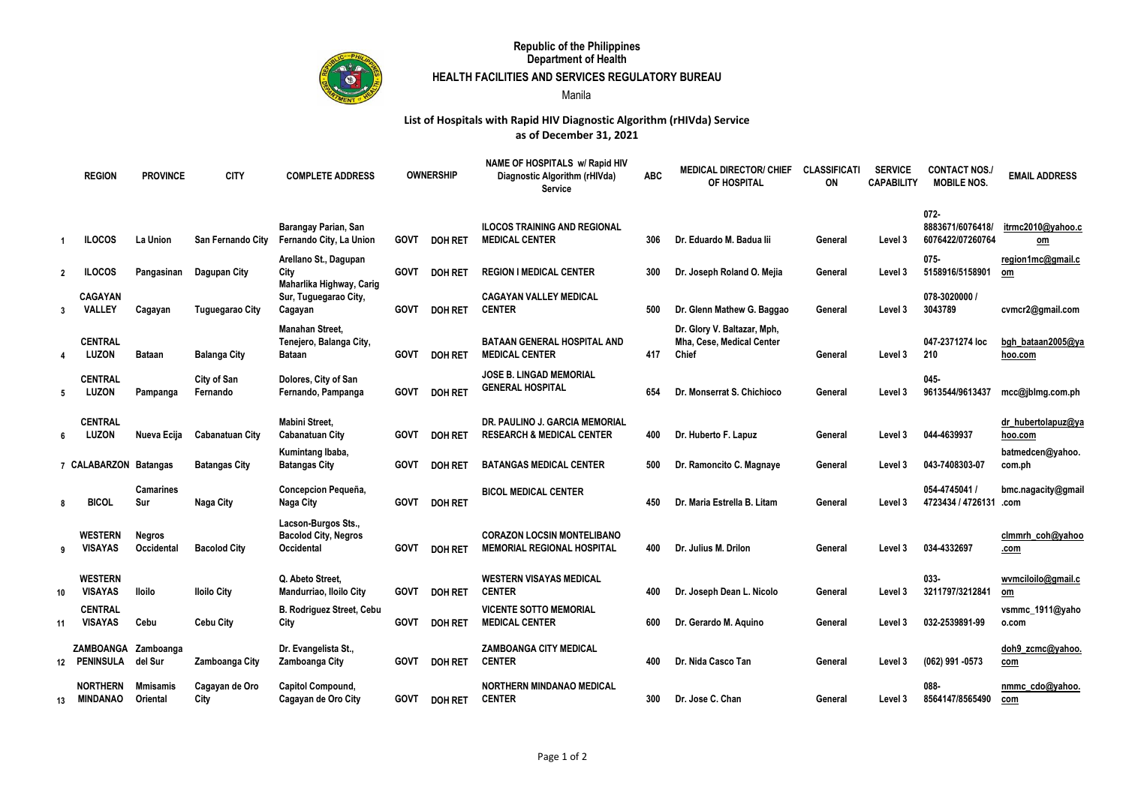

## **Republic of the Philippines Department of Health**

## **HEALTH FACILITIES AND SERVICES REGULATORY BUREAU**

Manila

## **as of December 31, 2021 List of Hospitals with Rapid HIV Diagnostic Algorithm (rHIVda) Service**

|                | <b>REGION</b>                       | <b>PROVINCE</b>             | <b>CITY</b>             | <b>COMPLETE ADDRESS</b>                                                 | <b>OWNERSHIP</b> |                | NAME OF HOSPITALS w/ Rapid HIV<br>Diagnostic Algorithm (rHIVda)<br><b>Service</b> | <b>ABC</b> | <b>MEDICAL DIRECTOR/ CHIEF</b><br>OF HOSPITAL                            | <b>CLASSIFICATI</b><br>ON | <b>SERVICE</b><br><b>CAPABILITY</b> | <b>CONTACT NOS.</b><br><b>MOBILE NOS.</b>       | <b>EMAIL ADDRESS</b>          |
|----------------|-------------------------------------|-----------------------------|-------------------------|-------------------------------------------------------------------------|------------------|----------------|-----------------------------------------------------------------------------------|------------|--------------------------------------------------------------------------|---------------------------|-------------------------------------|-------------------------------------------------|-------------------------------|
|                | <b>ILOCOS</b>                       | La Union                    | San Fernando City       | Barangay Parian, San<br>Fernando City, La Union                         | <b>GOVT</b>      | <b>DOH RET</b> | <b>ILOCOS TRAINING AND REGIONAL</b><br><b>MEDICAL CENTER</b>                      | 306        | Dr. Eduardo M. Badua lii                                                 | General                   | Level 3                             | $072 -$<br>8883671/6076418/<br>6076422/07260764 | itrmc2010@yahoo.c<br>om       |
| $\overline{2}$ | <b>ILOCOS</b>                       | Pangasinan                  | Dagupan City            | Arellano St., Dagupan<br>City<br>Maharlika Highway, Carig               | <b>GOVT</b>      | <b>DOH RET</b> | <b>REGION I MEDICAL CENTER</b>                                                    | 300        | Dr. Joseph Roland O. Mejia                                               | General                   | Level 3                             | $075 -$<br>5158916/5158901                      | region1mc@gmail.c<br>om       |
| 3              | <b>CAGAYAN</b><br>VALLEY            | Cagayan                     | <b>Tuguegarao City</b>  | Sur, Tuguegarao City,<br>Cagayan                                        | <b>GOVT</b>      | <b>DOH RET</b> | <b>CAGAYAN VALLEY MEDICAL</b><br><b>CENTER</b>                                    | 500        | Dr. Glenn Mathew G. Baggao                                               | General                   | Level 3                             | 078-3020000 /<br>3043789                        | cvmcr2@gmail.com              |
| 4              | <b>CENTRAL</b><br>LUZON             | <b>Bataan</b>               | <b>Balanga City</b>     | <b>Manahan Street.</b><br>Tenejero, Balanga City,<br>Bataan             | <b>GOVT</b>      | <b>DOH RET</b> | <b>BATAAN GENERAL HOSPITAL AND</b><br><b>MEDICAL CENTER</b>                       | 417        | Dr. Glory V. Baltazar, Mph,<br>Mha, Cese, Medical Center<br><b>Chief</b> | General                   | Level 3                             | 047-2371274 loc<br>210                          | bgh bataan2005@ya<br>hoo.com  |
| 5              | <b>CENTRAL</b><br><b>LUZON</b>      | Pampanga                    | City of San<br>Fernando | Dolores, City of San<br>Fernando, Pampanga                              | <b>GOVT</b>      | <b>DOH RET</b> | JOSE B. LINGAD MEMORIAL<br><b>GENERAL HOSPITAL</b>                                | 654        | Dr. Monserrat S. Chichioco                                               | General                   | Level 3                             | $045 -$<br>9613544/9613437                      | mcc@jblmg.com.ph              |
| 6              | <b>CENTRAL</b><br><b>LUZON</b>      | Nueva Ecija                 | <b>Cabanatuan City</b>  | <b>Mabini Street,</b><br><b>Cabanatuan City</b>                         | <b>GOVT</b>      | <b>DOH RET</b> | DR. PAULINO J. GARCIA MEMORIAL<br><b>RESEARCH &amp; MEDICAL CENTER</b>            | 400        | Dr. Huberto F. Lapuz                                                     | General                   | Level 3                             | 044-4639937                                     | dr_hubertolapuz@ya<br>hoo.com |
|                | 7 CALABARZON Batangas               |                             | <b>Batangas City</b>    | Kumintang Ibaba,<br><b>Batangas City</b>                                | <b>GOVT</b>      | <b>DOH RET</b> | <b>BATANGAS MEDICAL CENTER</b>                                                    | 500        | Dr. Ramoncito C. Magnaye                                                 | General                   | Level 3                             | 043-7408303-07                                  | batmedcen@yahoo.<br>com.ph    |
| 8              | <b>BICOL</b>                        | <b>Camarines</b><br>Sur     | Naga City               | Concepcion Pequeña,<br>Naga City                                        | <b>GOVT</b>      | <b>DOH RET</b> | <b>BICOL MEDICAL CENTER</b>                                                       | 450        | Dr. Maria Estrella B. Litam                                              | General                   | Level 3                             | 054-4745041 /<br>4723434 / 4726131              | bmc.nagacity@gmail<br>.com    |
| 9              | <b>WESTERN</b><br><b>VISAYAS</b>    | <b>Negros</b><br>Occidental | <b>Bacolod City</b>     | Lacson-Burgos Sts.,<br><b>Bacolod City, Negros</b><br><b>Occidental</b> | <b>GOVT</b>      | <b>DOH RET</b> | <b>CORAZON LOCSIN MONTELIBANO</b><br><b>MEMORIAL REGIONAL HOSPITAL</b>            | 400        | Dr. Julius M. Drilon                                                     | General                   | Level 3                             | 034-4332697                                     | clmmrh coh@yahoo<br>.com      |
| 10             | <b>WESTERN</b><br><b>VISAYAS</b>    | <b>Iloilo</b>               | <b>Iloilo City</b>      | Q. Abeto Street,<br>Mandurriao, Iloilo City                             | <b>GOVT</b>      | <b>DOH RET</b> | <b>WESTERN VISAYAS MEDICAL</b><br><b>CENTER</b>                                   | 400        | Dr. Joseph Dean L. Nicolo                                                | General                   | Level 3                             | 033-<br>3211797/3212841                         | wvmciloilo@gmail.c<br>om      |
| 11             | <b>CENTRAL</b><br><b>VISAYAS</b>    | Cebu                        | <b>Cebu City</b>        | <b>B. Rodriguez Street, Cebu</b><br>City                                | <b>GOVT</b>      | <b>DOH RET</b> | <b>VICENTE SOTTO MEMORIAL</b><br><b>MEDICAL CENTER</b>                            | 600        | Dr. Gerardo M. Aquino                                                    | General                   | Level 3                             | 032-2539891-99                                  | vsmmc_1911@yaho<br>o.com      |
|                | ZAMBOANGA Zamboanga<br>12 PENINSULA | del Sur                     | Zamboanga City          | Dr. Evangelista St.,<br>Zamboanga City                                  | <b>GOVT</b>      | <b>DOH RET</b> | <b>ZAMBOANGA CITY MEDICAL</b><br><b>CENTER</b>                                    | 400        | Dr. Nida Casco Tan                                                       | General                   | Level 3                             | (062) 991 -0573                                 | doh9_zcmc@yahoo.<br>com       |
| 13             | <b>NORTHERN</b><br><b>MINDANAO</b>  | Mmisamis<br>Oriental        | Cagayan de Oro<br>City  | Capitol Compound,<br>Cagayan de Oro City                                | <b>GOVT</b>      | <b>DOH RET</b> | <b>NORTHERN MINDANAO MEDICAL</b><br><b>CENTER</b>                                 | 300        | Dr. Jose C. Chan                                                         | General                   | Level 3                             | 088-<br>8564147/8565490                         | nmmc cdo@yahoo.<br>com        |